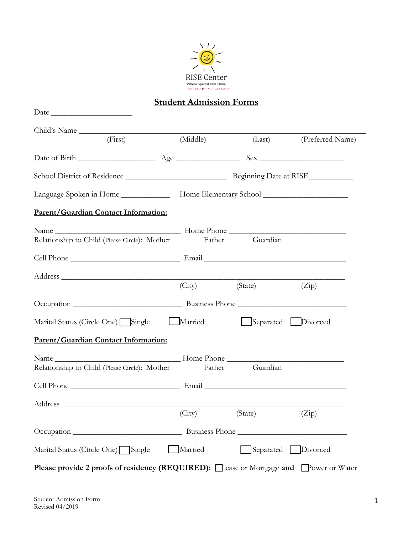

# **Student Admission Forms**

| Date                                                                                         |                      |                    |                    |
|----------------------------------------------------------------------------------------------|----------------------|--------------------|--------------------|
| Child's Name                                                                                 |                      |                    |                    |
| (First)                                                                                      | (Middle)             | (Last)             | (Preferred Name)   |
|                                                                                              |                      |                    |                    |
|                                                                                              |                      |                    |                    |
| Language Spoken in Home __________________ Home Elementary School _______________            |                      |                    |                    |
| Parent/Guardian Contact Information:                                                         |                      |                    |                    |
| Relationship to Child (Please Circle): Mother                                                |                      | Father Guardian    |                    |
|                                                                                              |                      |                    |                    |
|                                                                                              |                      |                    |                    |
|                                                                                              | (City)               | (State)            | (Zip)              |
|                                                                                              |                      |                    |                    |
| Marital Status (Circle One) Single                                                           | Married              | Separated Divorced |                    |
| Parent/Guardian Contact Information:                                                         |                      |                    |                    |
| Relationship to Child (Please Circle): Mother                                                | Father               | Guardian           |                    |
|                                                                                              |                      |                    |                    |
|                                                                                              |                      |                    |                    |
|                                                                                              | (City) (State) (Zip) |                    |                    |
|                                                                                              |                      |                    | Business Phone     |
| Marital Status (Circle One) Single                                                           | Married              |                    | Separated Divorced |
| <b>Please provide 2 proofs of residency (REQUIRED):</b> Lease or Mortgage and Power or Water |                      |                    |                    |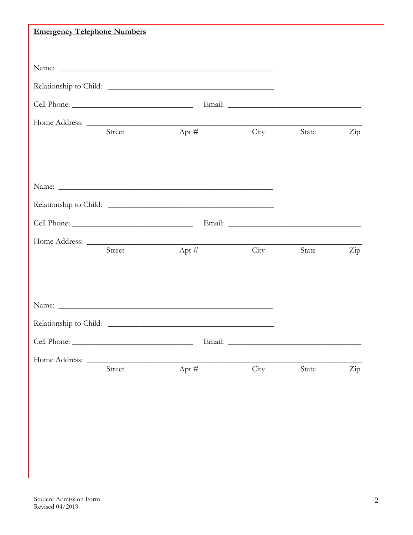| <b>Emergency Telephone Numbers</b> |        |                                                                                                                                                                                                                               |      |       |                      |
|------------------------------------|--------|-------------------------------------------------------------------------------------------------------------------------------------------------------------------------------------------------------------------------------|------|-------|----------------------|
|                                    |        |                                                                                                                                                                                                                               |      |       |                      |
|                                    |        |                                                                                                                                                                                                                               |      |       |                      |
|                                    |        | Relationship to Child:                                                                                                                                                                                                        |      |       |                      |
|                                    |        |                                                                                                                                                                                                                               |      |       |                      |
|                                    |        | Home Address:<br>Apt $#$                                                                                                                                                                                                      |      |       |                      |
|                                    | Street |                                                                                                                                                                                                                               | City | State | Zip                  |
|                                    |        |                                                                                                                                                                                                                               |      |       |                      |
|                                    |        |                                                                                                                                                                                                                               |      |       |                      |
|                                    |        |                                                                                                                                                                                                                               |      |       |                      |
|                                    |        |                                                                                                                                                                                                                               |      |       |                      |
|                                    |        |                                                                                                                                                                                                                               |      |       |                      |
|                                    | Street | Apt #                                                                                                                                                                                                                         | City | State | $\operatorname{Zip}$ |
|                                    |        |                                                                                                                                                                                                                               |      |       |                      |
|                                    |        |                                                                                                                                                                                                                               |      |       |                      |
|                                    |        |                                                                                                                                                                                                                               |      |       |                      |
|                                    |        | Name: Name: Name: Name: Name: Name: Name: Name: Name: Name: Name: Name: Name: Name: Name: Name: Name: Name: Name: Name: Name: Name: Name: Name: Name: Name: Name: Name: Name: Name: Name: Name: Name: Name: Name: Name: Name: |      |       |                      |
| Relationship to Child:             |        |                                                                                                                                                                                                                               |      |       |                      |
|                                    |        |                                                                                                                                                                                                                               |      |       |                      |
|                                    | Street | Apt $#$                                                                                                                                                                                                                       | City | State | Zip                  |
|                                    |        |                                                                                                                                                                                                                               |      |       |                      |
|                                    |        |                                                                                                                                                                                                                               |      |       |                      |
|                                    |        |                                                                                                                                                                                                                               |      |       |                      |
|                                    |        |                                                                                                                                                                                                                               |      |       |                      |
|                                    |        |                                                                                                                                                                                                                               |      |       |                      |
|                                    |        |                                                                                                                                                                                                                               |      |       |                      |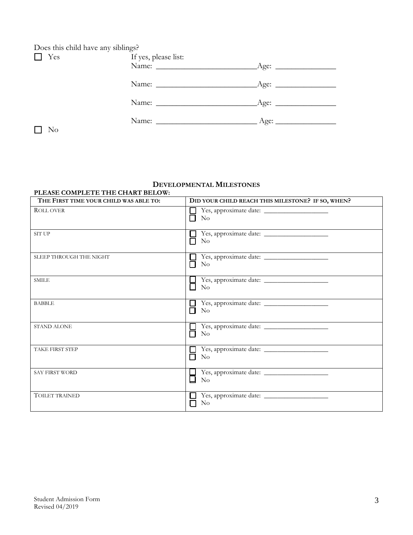| Does this child have any siblings? |                      |  |  |  |
|------------------------------------|----------------------|--|--|--|
| Yes                                | If yes, please list: |  |  |  |
|                                    |                      |  |  |  |
|                                    |                      |  |  |  |
|                                    |                      |  |  |  |
|                                    |                      |  |  |  |
|                                    |                      |  |  |  |
|                                    |                      |  |  |  |
|                                    |                      |  |  |  |
| No.                                |                      |  |  |  |

### **DEVELOPMENTAL MILESTONES**

### **PLEASE COMPLETE THE CHART BELOW:**

| THE FIRST TIME YOUR CHILD WAS ABLE TO: | DID YOUR CHILD REACH THIS MILESTONE? IF SO, WHEN?   |  |
|----------------------------------------|-----------------------------------------------------|--|
| <b>ROLL OVER</b>                       | $\rm No$                                            |  |
| <b>SIT UP</b>                          | $\rm No$                                            |  |
| <b>SLEEP THROUGH THE NIGHT</b>         | Yes, approximate date:<br>$\rm No$<br>П             |  |
| <b>SMILE</b>                           | $\rm No$                                            |  |
| <b>BABBLE</b>                          | Yes, approximate date:<br>ΙI<br>П<br>N <sub>o</sub> |  |
| <b>STAND ALONE</b>                     | П<br>$\rm No$                                       |  |
| <b>TAKE FIRST STEP</b>                 | $\rm No$<br>П                                       |  |
| <b>SAY FIRST WORD</b>                  | 口<br>$\rm No$                                       |  |
| <b>TOILET TRAINED</b>                  | Yes, approximate date:<br>$\rm No$                  |  |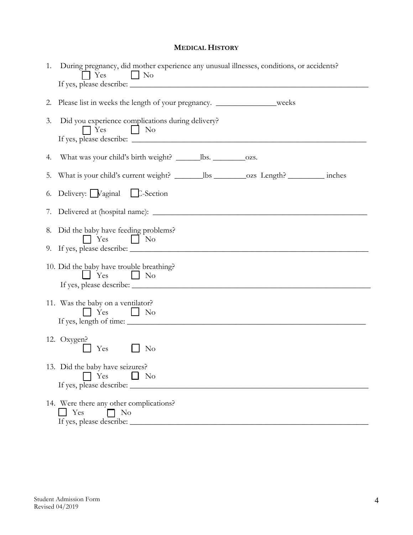## **MEDICAL HISTORY**

| 2. | Please list in weeks the length of your pregnancy. _________________weeks                      |  |
|----|------------------------------------------------------------------------------------------------|--|
| 3. | Did you experience complications during delivery?<br>$\Box$ Yes $\Box$ No                      |  |
| 4. |                                                                                                |  |
| 5. | What is your child's current weight? _________ lbs __________ ozs _Length? ____________ inches |  |
| 6. | Delivery: Vaginal C-Section                                                                    |  |
| 7. |                                                                                                |  |
| 8. | Did the baby have feeding problems?<br>$\top$ Yes<br>$\vert$ No                                |  |
|    | 10. Did the baby have trouble breathing?<br>$\Box$ Yes $\Box$ No                               |  |
|    | 11. Was the baby on a ventilator?<br>$\top$ Yes<br>$\overline{\phantom{a}}$     No             |  |
|    | 12. Oxygen?<br>Yes<br>$\rm No$                                                                 |  |
|    | 13. Did the baby have seizures?<br>Yes<br>- No<br>If yes, please describe: _                   |  |

If yes, please describe: \_\_\_\_\_\_\_\_\_\_\_\_\_\_\_\_\_\_\_\_\_\_\_\_\_\_\_\_\_\_\_\_\_\_\_\_\_\_\_\_\_\_\_\_\_\_\_\_\_\_\_\_\_\_\_\_\_\_\_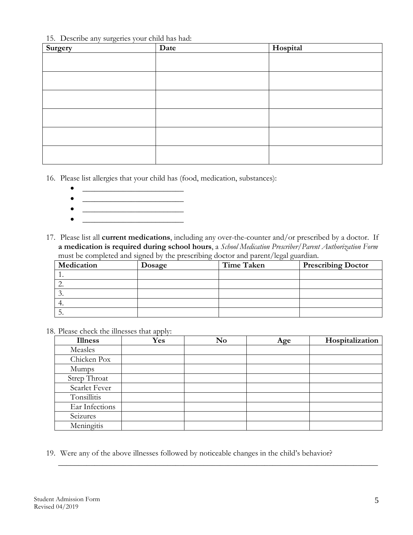15. Describe any surgeries your child has had:

| $\circ$<br>Surgery | Date | Hospital |
|--------------------|------|----------|
|                    |      |          |
|                    |      |          |
|                    |      |          |
|                    |      |          |
|                    |      |          |
|                    |      |          |
|                    |      |          |
|                    |      |          |
|                    |      |          |
|                    |      |          |
|                    |      |          |

16. Please list allergies that your child has (food, medication, substances):

- \_\_\_\_\_\_\_\_\_\_\_\_\_\_\_\_\_\_\_\_\_\_\_\_\_
- \_\_\_\_\_\_\_\_\_\_\_\_\_\_\_\_\_\_\_\_\_\_\_\_\_
- $\bullet$   $\qquad \qquad$  $\bullet$   $\hspace{0.2cm}$   $\hspace{0.2cm}$   $\hspace{0.2cm}$   $\hspace{0.2cm}$   $\hspace{0.2cm}$   $\hspace{0.2cm}$   $\hspace{0.2cm}$   $\hspace{0.2cm}$   $\hspace{0.2cm}$   $\hspace{0.2cm}$   $\hspace{0.2cm}$   $\hspace{0.2cm}$   $\hspace{0.2cm}$   $\hspace{0.2cm}$   $\hspace{0.2cm}$   $\hspace{0.2cm}$   $\hspace{0.2cm}$   $\hspace{0.2cm}$
- 17. Please list all **current medications**, including any over-the-counter and/or prescribed by a doctor. If **a medication is required during school hours**, a *School Medication Prescriber/Parent Authorization Form* must be completed and signed by the prescribing doctor and parent/legal guardian.

| Medication | Dosage | <b>Time Taken</b> | <b>Prescribing Doctor</b> |
|------------|--------|-------------------|---------------------------|
|            |        |                   |                           |
|            |        |                   |                           |
| .          |        |                   |                           |
|            |        |                   |                           |
| ◡.         |        |                   |                           |

18. Please check the illnesses that apply:

| <b>Illness</b> | Yes | No | Age | Hospitalization |
|----------------|-----|----|-----|-----------------|
| Measles        |     |    |     |                 |
| Chicken Pox    |     |    |     |                 |
| <b>Mumps</b>   |     |    |     |                 |
| Strep Throat   |     |    |     |                 |
| Scarlet Fever  |     |    |     |                 |
| Tonsillitis    |     |    |     |                 |
| Ear Infections |     |    |     |                 |
| Seizures       |     |    |     |                 |
| Meningitis     |     |    |     |                 |

\_\_\_\_\_\_\_\_\_\_\_\_\_\_\_\_\_\_\_\_\_\_\_\_\_\_\_\_\_\_\_\_\_\_\_\_\_\_\_\_\_\_\_\_\_\_\_\_\_\_\_\_\_\_\_\_\_\_\_\_\_\_\_\_\_\_\_\_\_\_\_\_\_\_\_\_\_\_\_

19. Were any of the above illnesses followed by noticeable changes in the child's behavior?